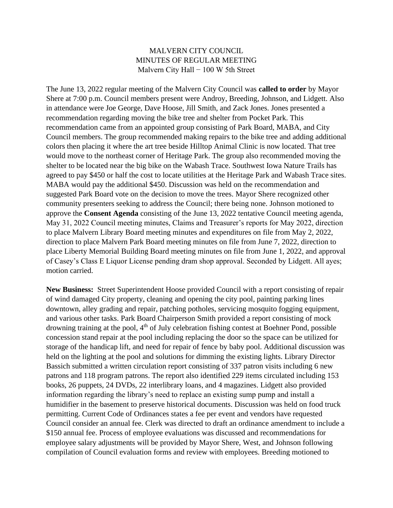## MALVERN CITY COUNCIL MINUTES OF REGULAR MEETING Malvern City Hall − 100 W 5th Street

The June 13, 2022 regular meeting of the Malvern City Council was **called to order** by Mayor Shere at 7:00 p.m. Council members present were Androy, Breeding, Johnson, and Lidgett. Also in attendance were Joe George, Dave Hoose, Jill Smith, and Zack Jones. Jones presented a recommendation regarding moving the bike tree and shelter from Pocket Park. This recommendation came from an appointed group consisting of Park Board, MABA, and City Council members. The group recommended making repairs to the bike tree and adding additional colors then placing it where the art tree beside Hilltop Animal Clinic is now located. That tree would move to the northeast corner of Heritage Park. The group also recommended moving the shelter to be located near the big bike on the Wabash Trace. Southwest Iowa Nature Trails has agreed to pay \$450 or half the cost to locate utilities at the Heritage Park and Wabash Trace sites. MABA would pay the additional \$450. Discussion was held on the recommendation and suggested Park Board vote on the decision to move the trees. Mayor Shere recognized other community presenters seeking to address the Council; there being none. Johnson motioned to approve the **Consent Agenda** consisting of the June 13, 2022 tentative Council meeting agenda, May 31, 2022 Council meeting minutes, Claims and Treasurer's reports for May 2022, direction to place Malvern Library Board meeting minutes and expenditures on file from May 2, 2022, direction to place Malvern Park Board meeting minutes on file from June 7, 2022, direction to place Liberty Memorial Building Board meeting minutes on file from June 1, 2022, and approval of Casey's Class E Liquor License pending dram shop approval. Seconded by Lidgett. All ayes; motion carried.

**New Business:** Street Superintendent Hoose provided Council with a report consisting of repair of wind damaged City property, cleaning and opening the city pool, painting parking lines downtown, alley grading and repair, patching potholes, servicing mosquito fogging equipment, and various other tasks. Park Board Chairperson Smith provided a report consisting of mock drowning training at the pool,  $4<sup>th</sup>$  of July celebration fishing contest at Boehner Pond, possible concession stand repair at the pool including replacing the door so the space can be utilized for storage of the handicap lift, and need for repair of fence by baby pool. Additional discussion was held on the lighting at the pool and solutions for dimming the existing lights. Library Director Bassich submitted a written circulation report consisting of 337 patron visits including 6 new patrons and 118 program patrons. The report also identified 229 items circulated including 153 books, 26 puppets, 24 DVDs, 22 interlibrary loans, and 4 magazines. Lidgett also provided information regarding the library's need to replace an existing sump pump and install a humidifier in the basement to preserve historical documents. Discussion was held on food truck permitting. Current Code of Ordinances states a fee per event and vendors have requested Council consider an annual fee. Clerk was directed to draft an ordinance amendment to include a \$150 annual fee. Process of employee evaluations was discussed and recommendations for employee salary adjustments will be provided by Mayor Shere, West, and Johnson following compilation of Council evaluation forms and review with employees. Breeding motioned to